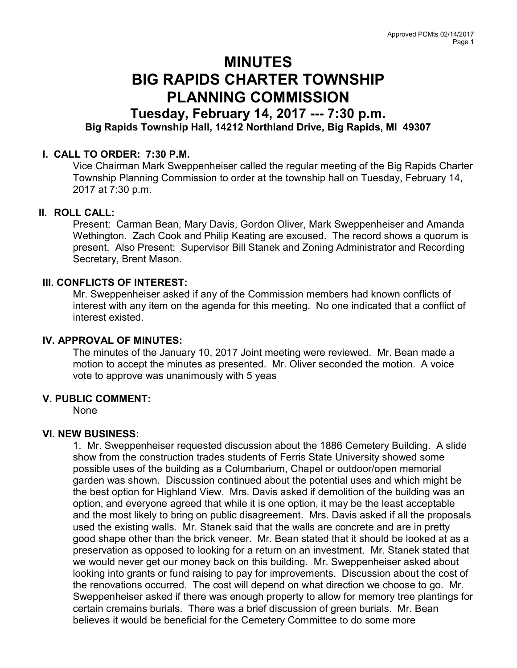# MINUTES BIG RAPIDS CHARTER TOWNSHIP PLANNING COMMISSION

# Tuesday, February 14, 2017 --- 7:30 p.m. Big Rapids Township Hall, 14212 Northland Drive, Big Rapids, MI 49307

# I. CALL TO ORDER: 7:30 P.M.

Vice Chairman Mark Sweppenheiser called the regular meeting of the Big Rapids Charter Township Planning Commission to order at the township hall on Tuesday, February 14, 2017 at 7:30 p.m.

# II. ROLL CALL:

Present: Carman Bean, Mary Davis, Gordon Oliver, Mark Sweppenheiser and Amanda Wethington. Zach Cook and Philip Keating are excused. The record shows a quorum is present. Also Present: Supervisor Bill Stanek and Zoning Administrator and Recording Secretary, Brent Mason.

#### III. CONFLICTS OF INTEREST:

Mr. Sweppenheiser asked if any of the Commission members had known conflicts of interest with any item on the agenda for this meeting. No one indicated that a conflict of interest existed.

# IV. APPROVAL OF MINUTES:

The minutes of the January 10, 2017 Joint meeting were reviewed. Mr. Bean made a motion to accept the minutes as presented. Mr. Oliver seconded the motion. A voice vote to approve was unanimously with 5 yeas

# V. PUBLIC COMMENT:

None

#### VI. NEW BUSINESS:

1. Mr. Sweppenheiser requested discussion about the 1886 Cemetery Building. A slide show from the construction trades students of Ferris State University showed some possible uses of the building as a Columbarium, Chapel or outdoor/open memorial garden was shown. Discussion continued about the potential uses and which might be the best option for Highland View. Mrs. Davis asked if demolition of the building was an option, and everyone agreed that while it is one option, it may be the least acceptable and the most likely to bring on public disagreement. Mrs. Davis asked if all the proposals used the existing walls. Mr. Stanek said that the walls are concrete and are in pretty good shape other than the brick veneer. Mr. Bean stated that it should be looked at as a preservation as opposed to looking for a return on an investment. Mr. Stanek stated that we would never get our money back on this building. Mr. Sweppenheiser asked about looking into grants or fund raising to pay for improvements. Discussion about the cost of the renovations occurred. The cost will depend on what direction we choose to go. Mr. Sweppenheiser asked if there was enough property to allow for memory tree plantings for certain cremains burials. There was a brief discussion of green burials. Mr. Bean believes it would be beneficial for the Cemetery Committee to do some more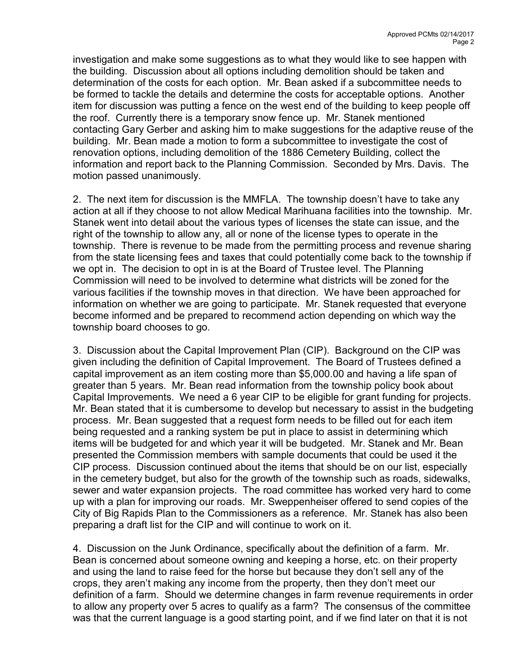investigation and make some suggestions as to what they would like to see happen with the building. Discussion about all options including demolition should be taken and determination of the costs for each option. Mr. Bean asked if a subcommittee needs to be formed to tackle the details and determine the costs for acceptable options. Another item for discussion was putting a fence on the west end of the building to keep people off the roof. Currently there is a temporary snow fence up. Mr. Stanek mentioned contacting Gary Gerber and asking him to make suggestions for the adaptive reuse of the building. Mr. Bean made a motion to form a subcommittee to investigate the cost of renovation options, including demolition of the 1886 Cemetery Building, collect the information and report back to the Planning Commission. Seconded by Mrs. Davis. The motion passed unanimously.

2. The next item for discussion is the MMFLA. The township doesn't have to take any action at all if they choose to not allow Medical Marihuana facilities into the township. Mr. Stanek went into detail about the various types of licenses the state can issue, and the right of the township to allow any, all or none of the license types to operate in the township. There is revenue to be made from the permitting process and revenue sharing from the state licensing fees and taxes that could potentially come back to the township if we opt in. The decision to opt in is at the Board of Trustee level. The Planning Commission will need to be involved to determine what districts will be zoned for the various facilities if the township moves in that direction. We have been approached for information on whether we are going to participate. Mr. Stanek requested that everyone become informed and be prepared to recommend action depending on which way the township board chooses to go.

3. Discussion about the Capital Improvement Plan (CIP). Background on the CIP was given including the definition of Capital Improvement. The Board of Trustees defined a capital improvement as an item costing more than \$5,000.00 and having a life span of greater than 5 years. Mr. Bean read information from the township policy book about Capital Improvements. We need a 6 year CIP to be eligible for grant funding for projects. Mr. Bean stated that it is cumbersome to develop but necessary to assist in the budgeting process. Mr. Bean suggested that a request form needs to be filled out for each item being requested and a ranking system be put in place to assist in determining which items will be budgeted for and which year it will be budgeted. Mr. Stanek and Mr. Bean presented the Commission members with sample documents that could be used it the CIP process. Discussion continued about the items that should be on our list, especially in the cemetery budget, but also for the growth of the township such as roads, sidewalks, sewer and water expansion projects. The road committee has worked very hard to come up with a plan for improving our roads. Mr. Sweppenheiser offered to send copies of the City of Big Rapids Plan to the Commissioners as a reference. Mr. Stanek has also been preparing a draft list for the CIP and will continue to work on it.

4. Discussion on the Junk Ordinance, specifically about the definition of a farm. Mr. Bean is concerned about someone owning and keeping a horse, etc. on their property and using the land to raise feed for the horse but because they don't sell any of the crops, they aren't making any income from the property, then they don't meet our definition of a farm. Should we determine changes in farm revenue requirements in order to allow any property over 5 acres to qualify as a farm? The consensus of the committee was that the current language is a good starting point, and if we find later on that it is not